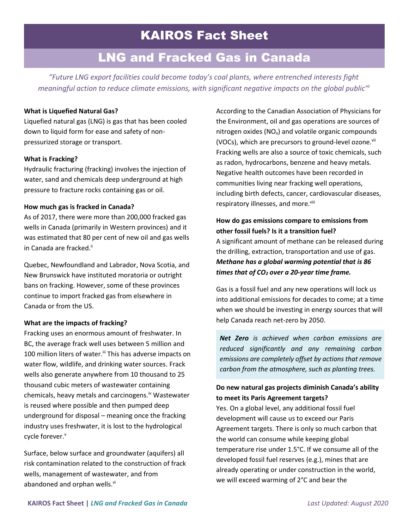# LNG and Fracked Gas in Canada

*"Future LNG export facilities could become today's coal plants, where entrenched interests fight meaningful action to reduce climate emissions, with significant negative impacts on the global public"<sup>i</sup>*

## **What is Liquefied Natural Gas?**

Liquefied natural gas (LNG) is gas that has been cooled down to liquid form for ease and safety of nonpressurized storage or transport.

## **What is Fracking?**

Hydraulic fracturing (fracking) involves the injection of water, sand and chemicals deep underground at high pressure to fracture rocks containing gas or oil.

## **How much gas is fracked in Canada?**

As of 2017, there were more than 200,000 fracked gas wells in Canada (primarily in Western provinces) and it was estimated that 80 per cent of new oil and gas wells in Canada are fracked. ii

Quebec, Newfoundland and Labrador, Nova Scotia, and New Brunswick have instituted moratoria or outright bans on fracking. However, some of these provinces continue to import fracked gas from elsewhere in Canada or from the US.

## **What are the impacts of fracking?**

Fracking uses an enormous amount of freshwater. In BC, the average frack well uses between 5 million and 100 million liters of water.<sup>iii</sup> This has adverse impacts on water flow, wildlife, and drinking water sources. Frack wells also generate anywhere from 10 thousand to 25 thousand cubic meters of wastewater containing chemicals, heavy metals and carcinogens.<sup>iv</sup> Wastewater is reused where possible and then pumped deep underground for disposal – meaning once the fracking industry uses freshwater, it is lost to the hydrological cycle forever.<sup>v</sup>

Surface, below surface and groundwater (aquifers) all risk contamination related to the construction of frack wells, management of wastewater, and from abandoned and orphan wells.<sup>vi</sup>

According to the Canadian Association of Physicians for the Environment, oil and gas operations are sources of nitrogen oxides ( $NO<sub>x</sub>$ ) and volatile organic compounds (VOCs), which are precursors to ground-level ozone.<sup>vii</sup> Fracking wells are also a source of toxic chemicals, such as radon, hydrocarbons, benzene and heavy metals. Negative health outcomes have been recorded in communities living near fracking well operations, including birth defects, cancer, cardiovascular diseases, respiratory illnesses, and more.<sup>viii</sup>

## **How do gas emissions compare to emissions from other fossil fuels? Is it a transition fuel?**

A significant amount of methane can be released during the drilling, extraction, transportation and use of gas. *Methane has a global warming potential that is 86 times that of CO<sup>2</sup> over a 20-year time frame.*

Gas is a fossil fuel and any new operations will lock us into additional emissions for decades to come; at a time when we should be investing in energy sources that will help Canada reach net-zero by 2050.

*Net Zero is achieved when carbon emissions are reduced significantly and any remaining carbon emissions are completely offset by actions that remove carbon from the atmosphere, such as planting trees.*

## **Do new natural gas projects diminish Canada's ability to meet its Paris Agreement targets?**

Yes. On a global level, any additional fossil fuel development will cause us to exceed our Paris Agreement targets. There is only so much carbon that the world can consume while keeping global temperature rise under 1.5°C. If we consume all of the developed fossil fuel reserves (e.g.), mines that are already operating or under construction in the world, we will exceed warming of 2°C and bear the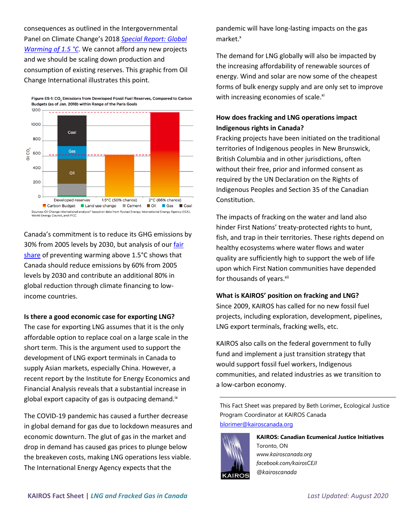consequences as outlined in the Intergovernmental Panel on Climate Change's 2018 *[Special Report: Global](https://www.ipcc.ch/sr15/)  [Warming of 1.5 °C](https://www.ipcc.ch/sr15/)*. We cannot afford any new projects and we should be scaling down production and consumption of existing reserves. This graphic from Oil Change International illustrates this point.



Canada's commitment is to reduce its GHG emissions by 30% from 2005 levels by 2030, but analysis of our fair [share](https://climateactionnetwork.ca/2019/12/02/canadas-fair-share-towards-limiting-global-warming-to-1-5c/#:~:text=Climate%20Action%20Network%20Canada%20believes,1.5%C2%B0C%20without%20overshoot.) of preventing warming above 1.5°C shows that Canada should reduce emissions by 60% from 2005 levels by 2030 and contribute an additional 80% in global reduction through climate financing to lowincome countries.

## **Is there a good economic case for exporting LNG?**

The case for exporting LNG assumes that it is the only affordable option to replace coal on a large scale in the short term. This is the argument used to support the development of LNG export terminals in Canada to supply Asian markets, especially China. However, a recent report by the Institute for Energy Economics and Financial Analysis reveals that a substantial increase in global export capacity of gas is outpacing demand.<sup>ix</sup>

The COVID-19 pandemic has caused a further decrease in global demand for gas due to lockdown measures and economic downturn. The glut of gas in the market and drop in demand has caused gas prices to plunge below the breakeven costs, making LNG operations less viable. The International Energy Agency expects that the

pandemic will have long-lasting impacts on the gas market.<sup>x</sup>

The demand for LNG globally will also be impacted by the increasing affordability of renewable sources of energy. Wind and solar are now some of the cheapest forms of bulk energy supply and are only set to improve with increasing economies of scale.xi

# **How does fracking and LNG operations impact Indigenous rights in Canada?**

Fracking projects have been initiated on the traditional territories of Indigenous peoples in New Brunswick, British Columbia and in other jurisdictions, often without their free, prior and informed consent as required by the UN Declaration on the Rights of Indigenous Peoples and Section 35 of the Canadian Constitution.

The impacts of fracking on the water and land also hinder First Nations' treaty-protected rights to hunt, fish, and trap in their territories. These rights depend on healthy ecosystems where water flows and water quality are sufficiently high to support the web of life upon which First Nation communities have depended for thousands of years.<sup>xii</sup>

## **What is KAIROS' position on fracking and LNG?**

Since 2009, KAIROS has called for no new fossil fuel projects, including exploration, development, pipelines, LNG export terminals, fracking wells, etc.

KAIROS also calls on the federal government to fully fund and implement a just transition strategy that would support fossil fuel workers, Indigenous communities, and related industries as we transition to a low-carbon economy.

This Fact Sheet was prepared by Beth Lorimer**,** Ecological Justice Program Coordinator at KAIROS Canada [blorimer@kairoscanada.org](mailto:blorimer@kairoscanada.org)



**KAIROS: Canadian Ecumenical Justice Initiatives** Toronto, ON *[www.kairoscanada.org](http://www.kairoscanada.org/) facebook.com/kairosCEJI @kairoscanada*